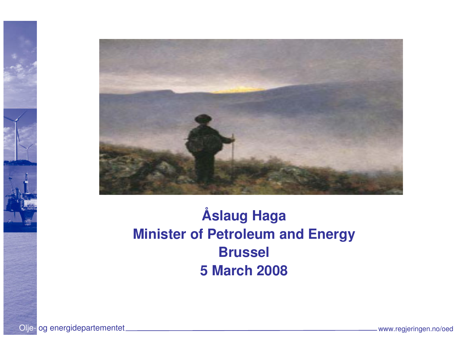

#### **Åslaug Haga Minister of Petroleum and EnergyBrussel5 March 2008**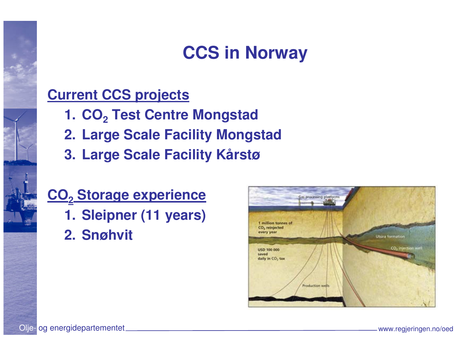### **CCS in Norway**

#### **Current CCS projects**

- **1. CO<sup>2</sup> Test Centre Mongstad**
- **2. Large Scale Facility Mongstad**
- **3. Large Scale Facility Kårstø**

### **CO2 Storage experience**

- **1. Sleipner (11 years)**
- **2. Snøhvit**

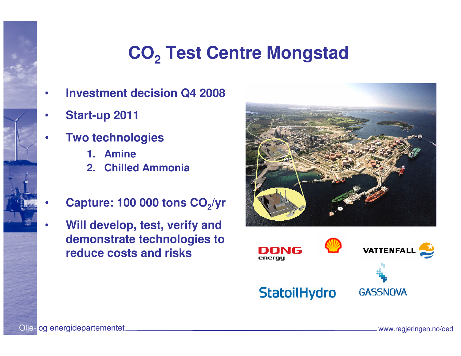# **CO2 Test Centre Mongstad**

- •**Investment decision Q4 2008**
- •**Start-up 2011**
- • **Two technologies**
	- **1. Amine**
	- **2. Chilled Ammonia**
- •**Capture: 100 000 tons CO<sub>2</sub>/yr**
- • **Will develop, test, verify and demonstrate technologies to reduce costs and risks**



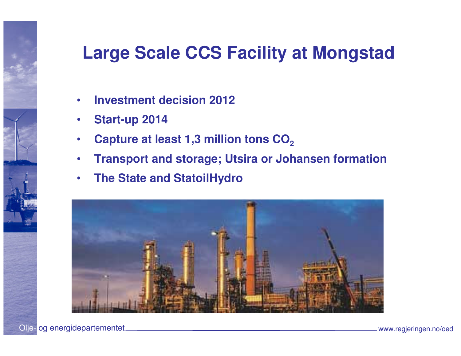### **Large Scale CCS Facility at Mongstad**

- •**Investment decision 2012**
- •**Start-up 2014**
- •Capture at least 1,3 million tons CO<sub>2</sub>
- •**Transport and storage; Utsira or Johansen formation**
- $\bullet$ **The State and StatoilHydro**

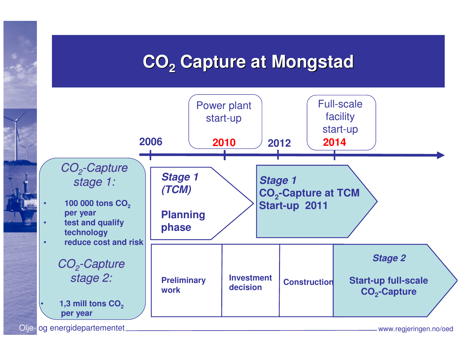### **CO2 Capture at Mongstad**

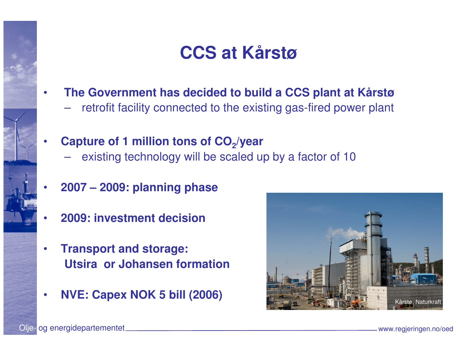#### **CCS at Kårstø**

- • **The Government has decided to build a CCS plant at Kårstø**
	- retrofit facility connected to the existing gas-fired power plant
- • **Capture of 1 million tons of CO2/year**
	- existing technology will be scaled up by a factor of 10
- •**2007 – 2009: planning phase**
- •**2009: investment decision**
- • **Transport and storage: Utsira or Johansen formation**
- •



Olje- og energidepartementet www.regjeringen.no/oed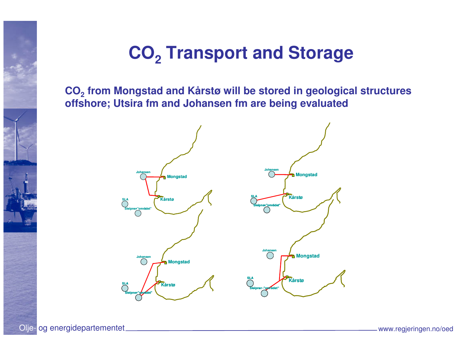## **CO2 Transport and Storage**

**CO2 from Mongstad and Kårstø will be stored in geological structures offshore; Utsira fm and Johansen fm are being evaluated**